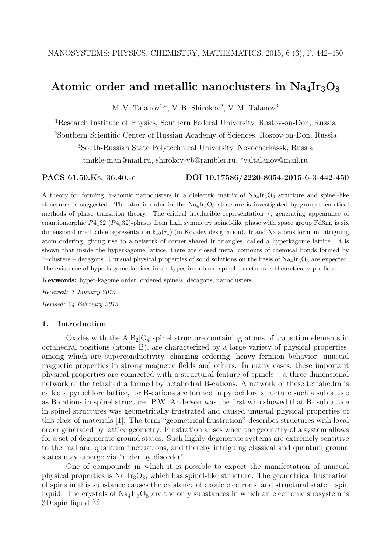# Atomic order and metallic nanoclusters in  $Na_4Ir_3O_8$

M. V. Talanov<sup>1,\*</sup>, V. B. Shirokov<sup>2</sup>, V. M. Talanov<sup>3</sup>

<sup>1</sup>Research Institute of Physics, Southern Federal University, Rostov-on-Don, Russia

<sup>2</sup>Southern Scientific Center of Russian Academy of Sciences, Rostov-on-Don, Russia

<sup>3</sup>South-Russian State Polytechnical University, Novocherkassk, Russia

tmikle-man@mail.ru, shirokov-vb@rambler.ru, <sup>∗</sup>valtalanov@mail.ru

#### PACS 61.50.Ks; 36.40.-c DOI 10.17586/2220-8054-2015-6-3-442-450

A theory for forming Ir-atomic nanoclusters in a dielectric matrix of  $\text{Na}_4\text{Ir}_3\text{O}_8$  structure and spinel-like structures is suggested. The atomic order in the  $\text{Na}_4\text{Ir}_3\text{O}_8$  structure is investigated by group-theoretical methods of phase transition theory. The critical irreducible representation  $\tau$ , generating appearance of enantiomorphic  $P_{41}$ 32 ( $P_{43}$ 32)-phases from high symmetry spinel-like phase with space group Fd3m, is six dimensional irreducible representation  $k_{10}(\tau_1)$  (in Kovalev designation). Ir and Na atoms form an intriguing atom ordering, giving rise to a network of corner shared Ir triangles, called a hyperkagome lattice. It is shown that inside the hyperkagome lattice, there are closed metal contours of chemical bonds formed by Ir-clusters – decagons. Unusual physical properties of solid solutions on the basis of  $\text{Na}_4\text{Ir}_3\text{O}_8$  are expected. The existence of hyperkagome lattices in six types in ordered spinel structures is theoretically predicted.

Keywords: hyper-kagome order, ordered spinels, decagons, nanoclusters.

Received: 7 January 2015 Revised: 24 February 2015

#### 1. Introduction

Oxides with the  $A[B_2]O_4$  spinel structure containing atoms of transition elements in octahedral positions (atoms B), are characterized by a large variety of physical properties, among which are superconductivity, charging ordering, heavy fermion behavior, unusual magnetic properties in strong magnetic fields and others. In many cases, these important physical properties are connected with a structural feature of spinels – a three-dimensional network of the tetrahedra formed by octahedral B-cations. A network of these tetrahedra is called a pyrochlore lattice, for B-cations are formed in pyrochlore structure such a sublattice as B-cations in spinel structure. P.W. Anderson was the first who showed that B- sublattice in spinel structures was geometrically frustrated and caused unusual physical properties of this class of materials [1]. The term "geometrical frustration" describes structures with local order generated by lattice geometry. Frustration arises when the geometry of a system allows for a set of degenerate ground states. Such highly degenerate systems are extremely sensitive to thermal and quantum fluctuations, and thereby intriguing classical and quantum ground states may emerge via "order by disorder".

One of compounds in which it is possible to expect the manifestation of unusual physical properties is  $\text{Na}_4\text{Ir}_3\text{O}_8$ , which has spinel-like structure. The geometrical frustration of spins in this substance causes the existence of exotic electronic and structural state – spin liquid. The crystals of  $\text{Na}_4\text{Ir}_3\text{O}_8$  are the only substances in which an electronic subsystem is 3D spin liquid [2].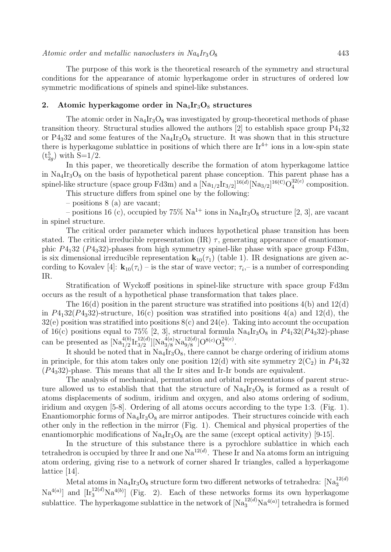The purpose of this work is the theoretical research of the symmetry and structural conditions for the appearance of atomic hyperkagome order in structures of ordered low symmetric modifications of spinels and spinel-like substances.

## 2. Atomic hyperkagome order in  $Na_4Ir_3O_8$  structures

The atomic order in  $\text{Na}_4\text{Ir}_3\text{O}_8$  was investigated by group-theoretical methods of phase transition theory. Structural studies allowed the authors  $[2]$  to establish space group  $P_{41}32$ or  $P_{43}$ 32 and some features of the Na<sub>4</sub>Ir<sub>3</sub>O<sub>8</sub> structure. It was shown that in this structure there is hyperkagome sublattice in positions of which there are  $Ir^{4+}$  ions in a low-spin state  $(t_{2g}^5)$  with S=1/2.

In this paper, we theoretically describe the formation of atom hyperkagome lattice in  $\text{Na}_4\text{Ir}_3\text{O}_8$  on the basis of hypothetical parent phase conception. This parent phase has a spinel-like structure (space group Fd3m) and a  $\left[\text{Na}_{1/2}\text{Ir}_{3/2}\right]^{16(d)}\left[\text{Na}_{3/2}\right]^{16(c)}\text{O}_4^{32(e)}$  $_4^{32(e)}$  composition.

This structure differs from spinel one by the following:

– positions 8 (a) are vacant;

– positions 16 (c), occupied by 75%  $\text{Na}^{1+}$  ions in  $\text{Na}{}_{4}\text{Ir}{}_{3}\text{O}_{8}$  structure [2, 3], are vacant in spinel structure.

The critical order parameter which induces hypothetical phase transition has been stated. The critical irreducible representation (IR)  $\tau$ , generating appearance of enantiomorphic  $P_{41}$ 32 ( $P_{43}$ 32)-phases from high symmetry spinel-like phase with space group Fd3m, is six dimensional irreducible representation  $\mathbf{k}_{10}(\tau_1)$  (table 1). IR designations are given according to Kovalev [4]:  $\mathbf{k}_{10}(\tau_i)$  – is the star of wave vector;  $\tau_i$ , – is a number of corresponding IR.

Stratification of Wyckoff positions in spinel-like structure with space group Fd3m occurs as the result of a hypothetical phase transformation that takes place.

The  $16(d)$  position in the parent structure was stratified into positions  $4(b)$  and  $12(d)$ in  $P_{41}32(P_{43}32)$ -structure, 16(c) position was stratified into positions 4(a) and 12(d), the  $32(e)$  position was stratified into positions  $8(e)$  and  $24(e)$ . Taking into account the occupation of 16(c) positions equal to 75% [2, 3], structural formula  $\text{Na}_4\text{Ir}_3\text{O}_8$  in  $P4_132(P4_332)$ -phase can be presented as  $[Na_{1/2}^{4(b)}Ir_{3/2}^{12(d)}][Na_{3/8}^{4(a)}Na_{9/8}^{12(d)}]O^{8(c)}O_3^{24(e)}$  $\frac{24(e)}{3}$ .

It should be noted that in  $Na_4Ir_3O_8$ , there cannot be charge ordering of iridium atoms in principle, for this atom takes only one position 12(d) with site symmetry  $2(C_2)$  in  $P4_132$  $(P_{43}32)$ -phase. This means that all the Ir sites and Ir-Ir bonds are equivalent.

The analysis of mechanical, permutation and orbital representations of parent structure allowed us to establish that that the structure of  $\text{Na}_4\text{Ir}_3\text{O}_8$  is formed as a result of atoms displacements of sodium, iridium and oxygen, and also atoms ordering of sodium, iridium and oxygen [5-8]. Ordering of all atoms occurs according to the type 1:3. (Fig. 1). Enantiomorphic forms of  $\text{Na}_4\text{Ir}_3\text{O}_8$  are mirror antipodes. Their structures coincide with each other only in the reflection in the mirror (Fig. 1). Chemical and physical properties of the enantiomorphic modifications of  $\text{Na}_4\text{Ir}_3\text{O}_8$  are the same (except optical activity) [9-15].

In the structure of this substance there is a pyrochlore sublattice in which each tetrahedron is occupied by three Ir and one  $\text{Na}^{12(d)}$ . These Ir and Na atoms form an intriguing atom ordering, giving rise to a network of corner shared Ir triangles, called a hyperkagome lattice [14].

Metal atoms in  $\text{Na}_4\text{Ir}_3\text{O}_8$  structure form two different networks of tetrahedra:  $\text{[Na}_3^{12(d)}$  $\text{Na}^{4(a)}$ ] and  $\text{[Ir}_3^{12(d)}\text{Na}^{4(b)}\text{]}$  (Fig. 2). Each of these networks forms its own hyperkagome sublattice. The hyperkagome sublattice in the network of  $[Na_3^{12(d)}Na^{4(a)}]$  tetrahedra is formed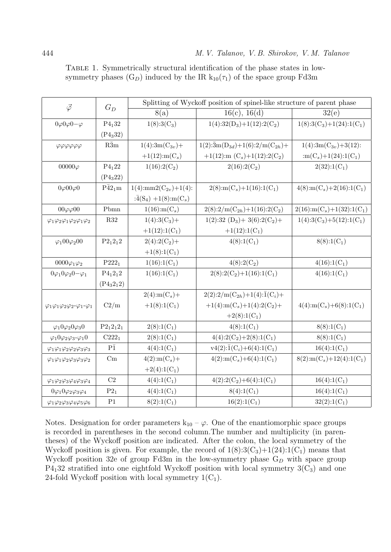| $\vec{\varphi}$                                                          | $G_D$                              | Splitting of Wyckoff position of spinel-like structure of parent phase |                                                         |                                                     |  |  |
|--------------------------------------------------------------------------|------------------------------------|------------------------------------------------------------------------|---------------------------------------------------------|-----------------------------------------------------|--|--|
|                                                                          |                                    | 8(a)                                                                   | 16(c), 16(d)                                            | 32(e)                                               |  |  |
| $0\varphi 0\varphi 0-\varphi$                                            | $P_{41}32$                         | $1(8):3(C_3)$                                                          | $1(4):32(D_3)+1(12):2(C_2)$                             | $1(8):3(C_3)+1(24):1(C_1)$                          |  |  |
|                                                                          | (P4 <sub>3</sub> 32)               |                                                                        |                                                         |                                                     |  |  |
| φφφφφ                                                                    | $R\bar{3}m$                        | $1(4):3m(C_{3v})+$                                                     | $1(2):\bar{3}m(D_{3d})+1(6):2/m(C_{2h})+$               | $1(4):3m(C_{3v})+3(12):$                            |  |  |
|                                                                          |                                    | $+1(12)$ :m(C <sub>s</sub> )                                           | +1(12):m $(C_s)$ +1(12):2( $C_2$ )                      | $:m(C_s)+1(24):1(C_1)$                              |  |  |
| $00000\varphi$                                                           | $P_{41}22$                         | $1(16):2(C_2)$                                                         | $2(16):2(C_2)$                                          | $2(32):1(C_1)$                                      |  |  |
|                                                                          | (P4 <sub>3</sub> 22)               |                                                                        |                                                         |                                                     |  |  |
| $0\varphi 00\varphi 0$                                                   | $P\bar{4}2_1m$                     | $1(4)$ :mm2 $(C_{2v})+1(4)$ :                                          | $2(8)$ :m(C <sub>s</sub> )+1(16):1(C <sub>1</sub> )     | $4(8)$ :m(C <sub>s</sub> )+2(16):1(C <sub>1</sub> ) |  |  |
|                                                                          |                                    | $:\bar{4}(S_4) + 1(8)$ :m(C <sub>s</sub> )                             |                                                         |                                                     |  |  |
| $00\varphi\varphi00$                                                     | Pbmn                               | $1(16)$ :m $(C_s)$                                                     | $2(8):2/m(C_{2h})+1(16):2(C_2)$                         | $2(16)\text{:}m(C_s)+1(32)\text{:}1(C_1)$           |  |  |
| $\varphi_1\varphi_2\varphi_1\varphi_2\varphi_1\varphi_2$                 | <b>R32</b>                         | $1(4):3(C_3)+$                                                         | $1(2):32(D_3)+3(6):2(C_2)+$                             | $1(4):3(C_3)+5(12):1(C_1)$                          |  |  |
|                                                                          |                                    | $+1(12):1(C_1)$                                                        | $+1(12):1(C_1)$                                         |                                                     |  |  |
| $\varphi_1 00 \varphi_2 00$                                              | $P2_12_12$                         | $2(4):2(C_2)+$                                                         | $4(8):1(C_1)$                                           | $8(8):1(C_1)$                                       |  |  |
|                                                                          |                                    | $+1(8):1(C_1)$                                                         |                                                         |                                                     |  |  |
| $0000\varphi_1\varphi_2$                                                 | $P222_1$                           | $1(16):1(C_1)$                                                         | $4(8):2(C_2)$                                           | $4(16):1(C_1)$                                      |  |  |
| $0\varphi_1 0\varphi_2 0 - \varphi_1$                                    | $P_{41}2_12$                       | $1(16):1(C_1)$                                                         | $2(8):2(C_2)+1(16):1(C_1)$                              | $4(16):1(C_1)$                                      |  |  |
|                                                                          | (P4 <sub>3</sub> 2 <sub>1</sub> 2) |                                                                        |                                                         |                                                     |  |  |
|                                                                          |                                    | $2(4)$ :m(C <sub>s</sub> )+                                            | $2(2):2/m(C_{2h})+1(4):{\bar{1}}(C_i)+$                 |                                                     |  |  |
| $\varphi_1\varphi_1\varphi_2\varphi_2\hbox{-}\varphi_1\hbox{-}\varphi_1$ | C2/m                               | $+1(8):1(C_1)$                                                         | $+1(4)$ :m(C <sub>s</sub> ) + 1(4):2(C <sub>2</sub> ) + | $4(4)$ :m(C <sub>s</sub> )+6(8):1(C <sub>1</sub> )  |  |  |
|                                                                          |                                    |                                                                        | $+2(8):1(C_1)$                                          |                                                     |  |  |
| $\varphi_1 0 \varphi_2 0 \varphi_3 0$                                    | $P2_12_12_1$                       | $2(8):1(C_1)$                                                          | $4(8):1(C_1)$                                           | $8(8):1(C_1)$                                       |  |  |
| $\varphi_1 0 \varphi_2 \varphi_3 - \varphi_1 0$                          | $C222_1$                           | $2(8):1(C_1)$                                                          | $4(4):2(C_2)+2(8):1(C_1)$                               | $8(8):1(C_1)$                                       |  |  |
| $\varphi_1\varphi_1\varphi_2\varphi_2\varphi_3\varphi_3$                 | $P\bar{1}$                         | $4(4):1(C_1)$                                                          | $v4(2):\bar{1}(C_i)+6(4):1(C_1)$                        | $16(4):1(C_1)$                                      |  |  |
| $\varphi_1\varphi_1\varphi_2\varphi_3\varphi_3\varphi_2$                 | Cm                                 | $4(2)$ :m(C <sub>s</sub> )+                                            | $4(2)$ :m(C <sub>s</sub> )+6(4):1(C <sub>1</sub> )      | $8(2)$ :m(C <sub>s</sub> )+12(4):1(C <sub>1</sub> ) |  |  |
|                                                                          |                                    | $+2(4):1(C_1)$                                                         |                                                         |                                                     |  |  |
| $\varphi_1\varphi_2\varphi_3\varphi_4\varphi_3\varphi_4$                 | $\rm C2$                           | $4(4):1(C_1)$                                                          | $4(2):2(C_2)+6(4):1(C_1)$                               | $16(4):1(C_1)$                                      |  |  |
| $0\varphi_10\varphi_2\varphi_3\varphi_4$                                 | $P2_1$                             | $4(4):1(C_1)$                                                          | $8(4):1(C_1)$                                           | $16(4):1(C_1)$                                      |  |  |
| $\varphi_1\varphi_2\varphi_3\varphi_4\varphi_5\varphi_6$                 | P <sub>1</sub>                     | $8(2):1(C_1)$                                                          | $16(2):1(C_1)$                                          | $32(2):1(C_1)$                                      |  |  |

Table 1. Symmetrically structural identification of the phase states in lowsymmetry phases  $(G_D)$  induced by the IR  $k_{10}(\tau_1)$  of the space group Fd3m

Notes. Designation for order parameters  $k_{10} - \varphi$ . One of the enantiomorphic space groups is recorded in parentheses in the second column.The number and multiplicity (in parentheses) of the Wyckoff position are indicated. After the colon, the local symmetry of the Wyckoff position is given. For example, the record of  $1(8):3(C_3)+1(24):1(C_1)$  means that Wyckoff position 32e of group Fd3m in the low-symmetry phase  $G_D$  with space group  $P4<sub>1</sub>32$  stratified into one eightfold Wyckoff position with local symmetry  $3(C<sub>3</sub>)$  and one 24-fold Wyckoff position with local symmetry  $1(C_1)$ .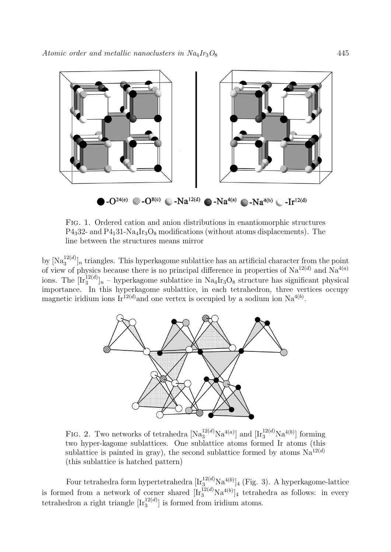

Fig. 1. Ordered cation and anion distributions in enantiomorphic structures  $P_{43}$ 32- and  $P_{41}$ 31-Na<sub>4</sub>Ir<sub>3</sub>O<sub>8</sub> modifications (without atoms displacements). The line between the structures means mirror

by  $[Na_3^{12(d)}]_n$  triangles. This hyperkagome sublattice has an artificial character from the point of view of physics because there is no principal difference in properties of  $\text{Na}^{12(d)}$  and  $\text{Na}^{4(a)}$ ions. The  $[\mathrm{Ir}_3^{12(d)}]_n$  – hyperkagome sublattice in  $\mathrm{Na}_4\mathrm{Ir}_3\mathrm{O}_8$  structure has significant physical importance. In this hyperkagome sublattice, in each tetrahedron, three vertices occupy magnetic iridium ions Ir<sup>12(d)</sup> and one vertex is occupied by a sodium ion  $Na^{4(b)}$ .



FIG. 2. Two networks of tetrahedra  $[Na_3^{12(d)}Na^{4(a)}]$  and  $[Ir_3^{12(d)}Na^{4(b)}]$  forming two hyper-kagome sublattices. One sublattice atoms formed Ir atoms (this sublattice is painted in gray), the second sublattice formed by atoms  $Na^{12(d)}$ (this sublattice is hatched pattern)

Four tetrahedra form hypertetrahedra  $[\text{Ir}_3^{12(d)}]$ Na<sup>4(b)</sup>]<sub>4</sub> (Fig. 3). A hyperkagome-lattice is formed from a network of corner shared  $[\text{Ir}_3^{12(d)}\text{Na}^{4(b)}]_4$  tetrahedra as follows: in every tetrahedron a right triangle  $[\text{Ir}_3^{12(d)}]$  is formed from iridium atoms.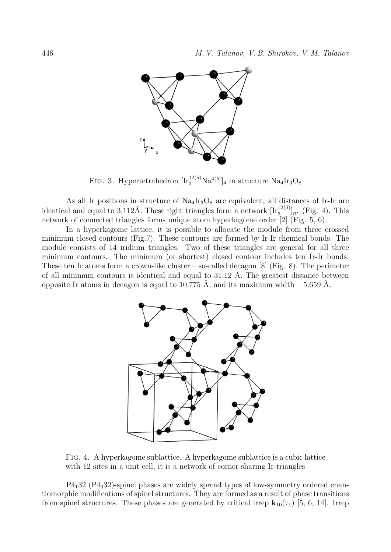

FIG. 3. Hypertetrahedron  $[\text{Ir}_3^{12(d)}\text{Na}^{4(b)}]_4$  in structure  $\text{Na}_4\text{Ir}_3\text{O}_8$ 

As all Ir positions in structure of  $Na_4Ir_3O_8$  are equivalent, all distances of Ir-Ir are identical and equal to 3.112Å. These right triangles form a network  $[\text{Ir}_3^{12(d)}]_n$ . (Fig. 4). This network of connected triangles forms unique atom hyperkagome order [2] (Fig. 5, 6).

In a hyperkagome lattice, it is possible to allocate the module from three crossed minimum closed contours (Fig.7). These contours are formed by Ir-Ir chemical bonds. The module consists of 14 iridium triangles. Two of these triangles are general for all three minimum contours. The minimum (or shortest) closed contour includes ten Ir-Ir bonds. These ten Ir atoms form a crown-like cluster – so-called decagon  $[8]$  (Fig. 8). The perimeter of all minimum contours is identical and equal to  $31.12$  Å. The greatest distance between opposite Ir atoms in decagon is equal to 10.775 Å, and its maximum width – 5.659 Å.



Fig. 4. A hyperkagome sublattice. A hyperkagome sublattice is a cubic lattice with 12 sites in a unit cell, it is a network of corner-sharing Ir-triangles

P4132 (P4332)-spinel phases are widely spread types of low-symmetry ordered enantiomorphic modifications of spinel structures. They are formed as a result of phase transitions from spinel structures. These phases are generated by critical irrep  $\mathbf{k}_{10}(\tau_1)$  [5, 6, 14]. Irrep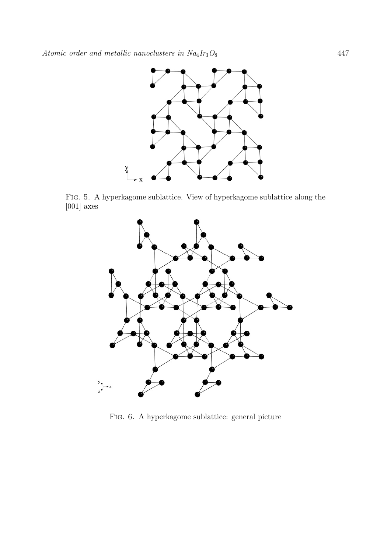

Fig. 5. A hyperkagome sublattice. View of hyperkagome sublattice along the [001] axes



Fig. 6. A hyperkagome sublattice: general picture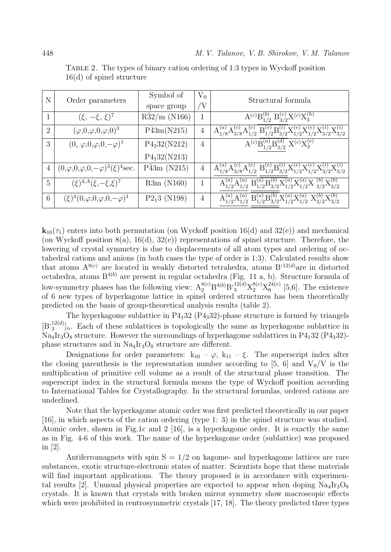| N                           | Order parameters                                 | Symbol of                | $V_0$          | Structural formula                                                                                                      |
|-----------------------------|--------------------------------------------------|--------------------------|----------------|-------------------------------------------------------------------------------------------------------------------------|
|                             |                                                  | space group              | 'V             |                                                                                                                         |
|                             | $(\xi, -\xi, \xi)^7$                             | $R\bar{3}2/m$ (N166)     | 1              | $A^{(c)}B_{1/2}^{(b)}B_{3/2}^{(e)}X^{(c)}X_3^{(h)}$                                                                     |
| $\mathcal{D}_{\mathcal{L}}$ | $(\varphi,0,\varphi,0,\varphi,0)^3$              | $P\bar{4}3m(N215)$       | $\overline{4}$ | $A_{1/8}^{(a)}A_{3/8}^{(c)}A_{1/2}^{(e)}B_{1/2}^{(e)}B_{3/2}^{(i)}X_{1/2}^{(e)}X_{1/2}^{(e)}X_{3/2}^{(i)}X_{3/2}^{(i)}$ |
| 3                           | $(0, \varphi, 0, \varphi, 0, -\varphi)^1$        | P4 <sub>3</sub> 32(N212) | $\overline{4}$ | $A^{(c)}B_{1/2}^{(a)}B_{3/2}^{(d)} X^{(c)}X_3^{(e)}$                                                                    |
|                             |                                                  | P4 <sub>1</sub> 32(N213) |                |                                                                                                                         |
| 4                           | $(0,\varphi,0,\varphi,0,-\varphi)^3(\xi)^4$ sec. | $P\bar{4}3m$ (N215)      | $\overline{4}$ | $A_{1/8}^{(a)}A_{3/8}^{(c)}A_{1/2}^{(e)}B_{1/2}^{(e)}B_{3/2}^{(i)}X_{1/2}^{(e)}X_{1/2}^{(e)}X_{3/2}^{(i)}X_{3/2}^{(i)}$ |
| 5                           | $(\xi)^{4,A}(\xi,-\xi,\xi)^7$                    | R3m (N160)               |                | $A_{1/2}^{(a)}A_{1/2}^{(a)}B_{1/2}^{(a)}B_{3/2}^{(b)}X_{1/2}^{(a)}X_{1/2}^{(a)}X_{3/2}^{(b)}X_{3/2}^{(b)}$              |
| 6                           | $(\xi)^4(0,\varphi,0,\varphi,0,-\varphi)^1$      | $P2_13$ (N198)           | $\overline{4}$ | $\chi^{(a)}_{1/2} B^{(a)}_{1/2} B^{(b)}_{3/2} X^{(a)}_{1/2} X^{(a)}_{1/2} X^{(b)}_{3/2} X^{(b)}_{3/2}$                  |

Table 2. The types of binary cation ordering of 1:3 types in Wyckoff position 16(d) of spinel structure

 $\mathbf{k}_{10}(\tau_1)$  enters into both permutation (on Wyckoff position 16(d) and 32(e)) and mechanical (on Wyckoff position  $8(a)$ ,  $16(d)$ ,  $32(e)$ ) representations of spinel structure. Therefore, the lowering of crystal symmetry is due to displacements of all atom types and ordering of octahedral cations and anions (in both cases the type of order is 1:3). Calculated results show that atoms  $A^{8(c)}$  are located in weakly distorted tetrahedra, atoms  $B^{(12(d)}$ are in distorted octahedra, atoms  $B^{4(b)}$  are present in regular octahedra (Fig. 11 a, b). Structure formula of low-symmetry phases has the following view:  $A_2^{8(c)}B^{4(b)}B_3^{*12(d)}X_2^{8(c)}X_6^{24(e)}$  $_{6}^{^{24(e)}}$  [5,6]. The existence of 6 new types of hyperkagome lattice in spinel ordered structures has been theoretically predicted on the basis of group-theoretical analysis results (table 2).

The hyperkagome sublattice in  $P4<sub>1</sub>32$  ( $P4<sub>3</sub>32$ )-phase structure is formed by triangels  $[\mathbf{B}_{3}^{(12(d)}]_n]$ . Each of these sublattices is topologically the same as hyperkagome sublattice in  $Na<sub>4</sub>Ir<sub>3</sub>O<sub>8</sub>$  structure. However the surroundings of hyperkagome sublattices in P4<sub>1</sub>32 (P4<sub>3</sub>32)phase structures and in  $\text{Na}_4\text{Ir}_3\text{O}_8$  structure are different.

Designations for order parameters:  $k_{10} - \varphi$ ,  $k_{11} - \xi$ . The superscript index after the closing parenthesis is the representation number according to [5, 6] and  $V_0/V$  is the multiplication of primitive cell volume as a result of the structural phase transition. The superscript index in the structural formula means the type of Wyckoff position according to International Tables for Crystallography. In the structural formulas, ordered cations are underlined.

Note that the hyperkagome atomic order was first predicted theoretically in our paper [16], in which aspects of the cation ordering (type 1: 3) in the spinel structure was studied. Atomic order, shown in Fig.1c and 2 [16], is a hyperkagome order. It is exactly the same as in Fig. 4-6 of this work. The name of the hyperkagome order (sublattice) was proposed in [2].

Antiferromagnets with spin  $S = 1/2$  on kagome- and hyperkagome lattices are rare substances, exotic structure-electronic states of matter. Scientists hope that these materials will find important applications. The theory proposed is in accordance with experimental results [2]. Unusual physical properties are expected to appear when doping  $\text{Na}_4\text{Ir}_3\text{O}_8$ crystals. It is known that crystals with broken mirror symmetry show macroscopic effects which were prohibited in centrosymmetric crystals [17, 18]. The theory predicted three types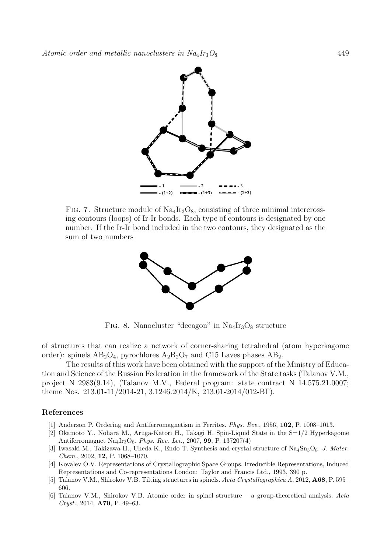

FIG. 7. Structure module of  $\text{Na}_4\text{Ir}_3\text{O}_8$ , consisting of three minimal intercrossing contours (loops) of Ir-Ir bonds. Each type of contours is designated by one number. If the Ir-Ir bond included in the two contours, they designated as the sum of two numbers



FIG. 8. Nanocluster "decagon" in  $Na<sub>4</sub>Ir<sub>3</sub>O<sub>8</sub>$  structure

of structures that can realize a network of corner-sharing tetrahedral (atom hyperkagome order): spinels  $AB_2O_4$ , pyrochlores  $A_2B_2O_7$  and C15 Laves phases  $AB_2$ .

The results of this work have been obtained with the support of the Ministry of Education and Science of the Russian Federation in the framework of the State tasks (Talanov V.M., project N 2983(9.14), (Talanov M.V., Federal program: state contract N 14.575.21.0007; theme Nos. 213.01-11/2014-21, 3.1246.2014/K, 213.01-2014/012-BΓ).

### References

- [1] Anderson P. Ordering and Antiferromagnetism in Ferrites. Phys. Rev., 1956, 102, P. 1008–1013.
- [2] Okamoto Y., Nohara M., Aruga-Katori H., Takagi H. Spin-Liquid State in the S=1/2 Hyperkagome Antiferromagnet Na<sub>4</sub>Ir<sub>3</sub>O<sub>8</sub>. Phys. Rev. Let., 2007, 99, P. 137207(4)
- [3] Iwasaki M., Takizawa H., Uheda K., Endo T. Synthesis and crystal structure of Na<sub>4</sub>Sn<sub>3</sub>O<sub>8</sub>. *J. Mater.* Chem., 2002, 12, P. 1068–1070.
- [4] Kovalev O.V. Representations of Crystallographic Space Groups. Irreducible Representations, Induced Representations and Co-representations London: Taylor and Francis Ltd., 1993, 390 p.
- [5] Talanov V.M., Shirokov V.B. Tilting structures in spinels. Acta Crystallographica A, 2012, A68, P. 595– 606.
- [6] Talanov V.M., Shirokov V.B. Atomic order in spinel structure a group-theoretical analysis. Acta Cryst., 2014, A70, P. 49–63.